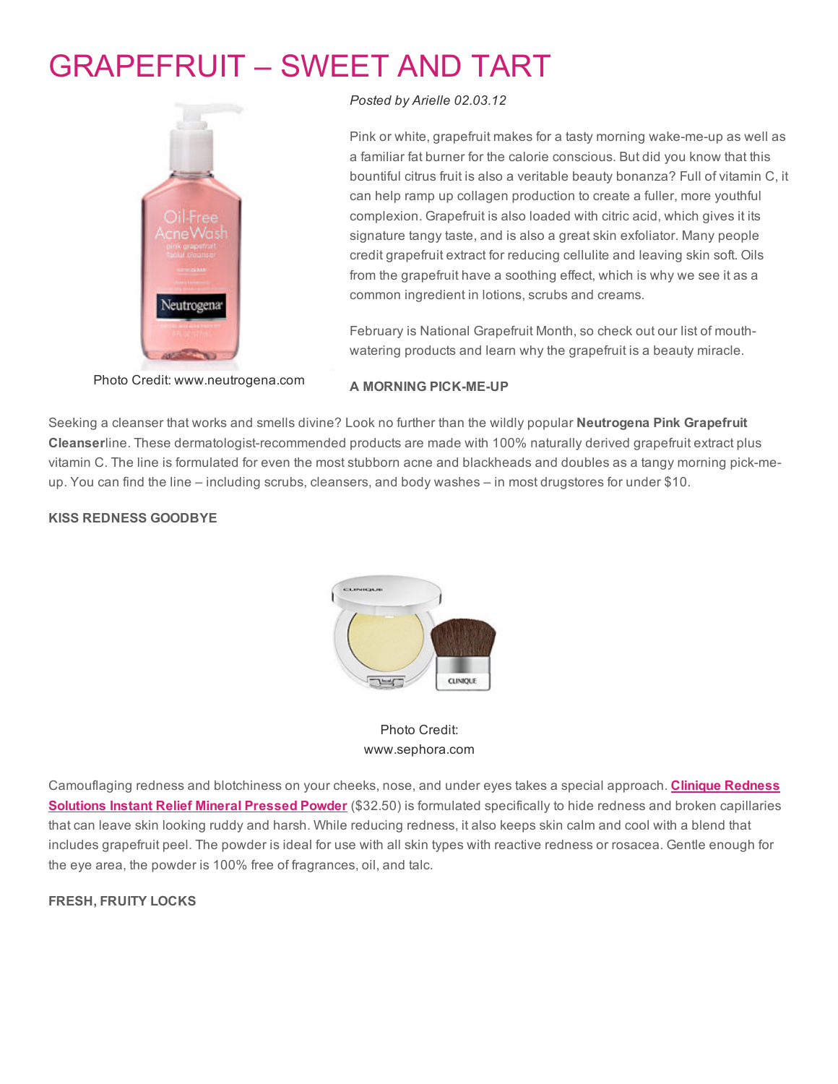# [GRAPEFRUIT](http://www.beautyinthebag.com/wordpress/grapefruit-sweet-and-tart/) – SWEET AND TART



### *Posted by [Arielle](http://www.beautyinthebag.com/wordpress/author/arielle/) 02.03.12*

Pink or white, grapefruit makes for a tasty morning wake-me-up as well as a familiar fat burner for the calorie conscious. But did you know that this bountiful citrus fruit is also a veritable beauty bonanza? Full of vitamin C, it can help ramp up collagen production to create a fuller, more youthful complexion. Grapefruit is also loaded with citric acid, which gives it its signature tangy taste, and is also a great skin exfoliator. Many people credit grapefruit extract for reducing cellulite and leaving skin soft. Oils from the grapefruit have a soothing effect, which is why we see it as a common ingredient in lotions, scrubs and creams.

February is National Grapefruit Month, so check out our list of mouthwatering products and learn why the grapefruit is a beauty miracle.

Photo Credit: www.neutrogena.com

#### A MORNING PICK-ME-UP

Seeking a cleanser that works and smells divine? Look no further than the wildly popular Neutrogena Pink Grapefruit Cleanserline. These dermatologist-recommended products are made with 100% naturally derived grapefruit extract plus vitamin C. The line is formulated for even the most stubborn acne and blackheads and doubles as a tangy morning pick-meup. You can find the line – including scrubs, cleansers, and body washes – in most drugstores for under \$10.

#### KISS REDNESS GOODBYE



## Photo Credit: www.sephora.com

[Camouflaging](http://rstyle.me/f4gvskhmde) redness and blotchiness on your cheeks, nose, and under eyes takes a special approach. Clinique Redness Solutions Instant Relief Mineral Pressed Powder (\$32.50) is formulated specifically to hide redness and broken capillaries that can leave skin looking ruddy and harsh. While reducing redness, it also keeps skin calm and cool with a blend that includes grapefruit peel. The powder is ideal for use with all skin types with reactive redness or rosacea. Gentle enough for the eye area, the powder is 100% free of fragrances, oil, and talc.

#### FRESH, FRUITY LOCKS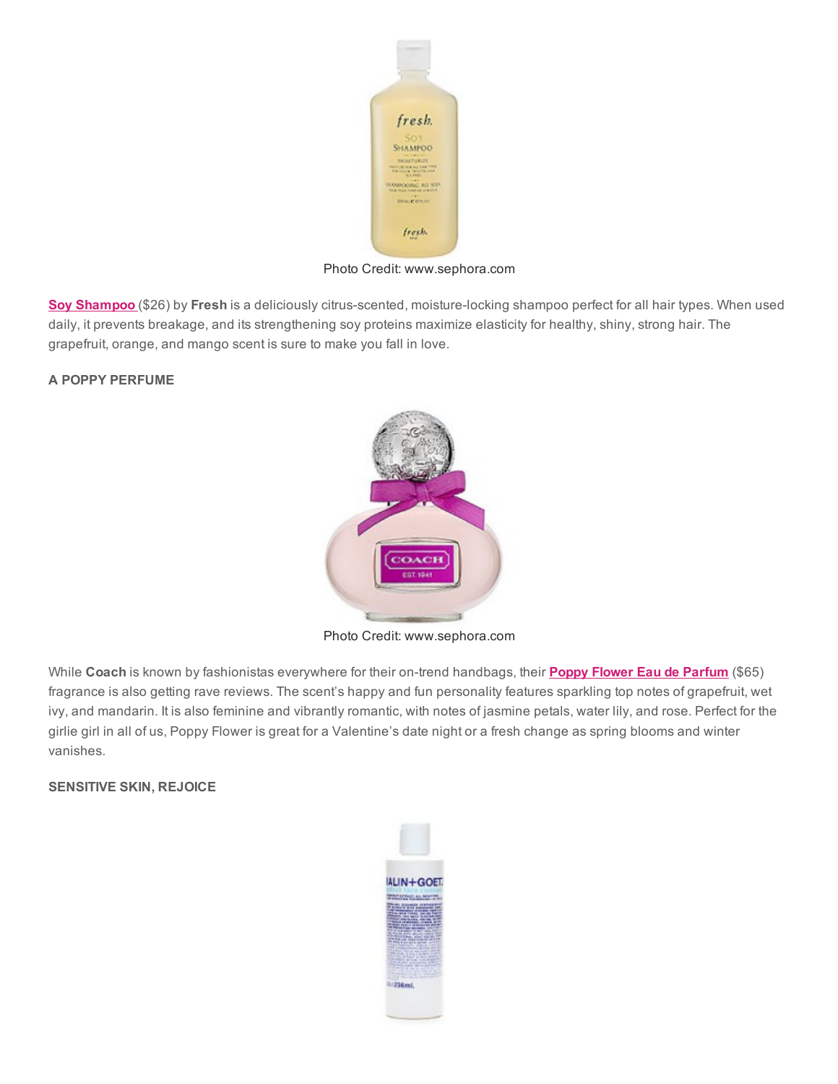

Photo Credit: www.sephora.com

Soy [Shampoo](http://rstyle.me/e4d9wwhmde) (\$26) by Fresh is a deliciously citrus-scented, moisture-locking shampoo perfect for all hair types. When used daily, it prevents breakage, and its strengthening soy proteins maximize elasticity for healthy, shiny, strong hair. The grapefruit, orange, and mango scent is sure to make you fall in love.

# A POPPY PERFUME



Photo Credit: www.sephora.com

While Coach is known by fashionistas everywhere for their on-trend handbags, their Poppy Flower Eau de [Parfum](http://rstyle.me/e4ct3qhmde) (\$65) fragrance is also getting rave reviews. The scent's happy and fun personality features sparkling top notes of grapefruit, wet ivy, and mandarin. It is also feminine and vibrantly romantic, with notes of jasmine petals, water lily, and rose. Perfect for the girlie girl in all of us, Poppy Flower is great for a Valentine's date night or a fresh change as spring blooms and winter vanishes.

## SENSITIVE SKIN, REJOICE

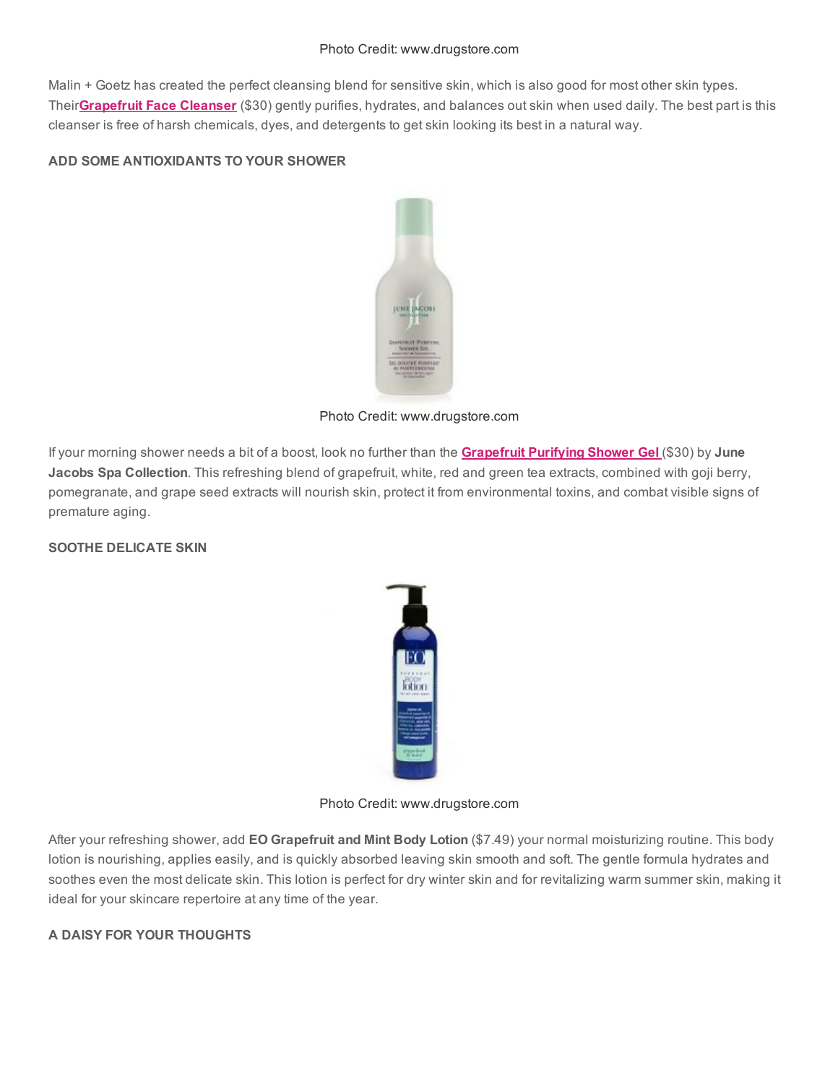Malin + Goetz has created the perfect cleansing blend for sensitive skin, which is also good for most other skin types. Their**[Grapefruit](http://rstyle.me/bumxz2hmde) Face Cleanser** (\$30) gently purifies, hydrates, and balances out skin when used daily. The best part is this cleanser is free of harsh chemicals, dyes, and detergents to get skin looking its best in a natural way.

# ADD SOME ANTIOXIDANTS TO YOUR SHOWER



Photo Credit: www.drugstore.com

If your morning shower needs a bit of a boost, look no further than the **[Grapefruit](http://rstyle.me/gf254hmde) Purifying Shower Gel** (\$30) by June Jacobs Spa Collection. This refreshing blend of grapefruit, white, red and green tea extracts, combined with goji berry, pomegranate, and grape seed extracts will nourish skin, protect it from environmental toxins, and combat visible signs of premature aging.

SOOTHE DELICATE SKIN



Photo Credit: www.drugstore.com

After your refreshing shower, add EO Grapefruit and Mint Body Lotion (\$7.49) your normal moisturizing routine. This body lotion is nourishing, applies easily, and is quickly absorbed leaving skin smooth and soft. The gentle formula hydrates and soothes even the most delicate skin. This lotion is perfect for dry winter skin and for revitalizing warm summer skin, making it ideal for your skincare repertoire at any time of the year.

# A DAISY FOR YOUR THOUGHTS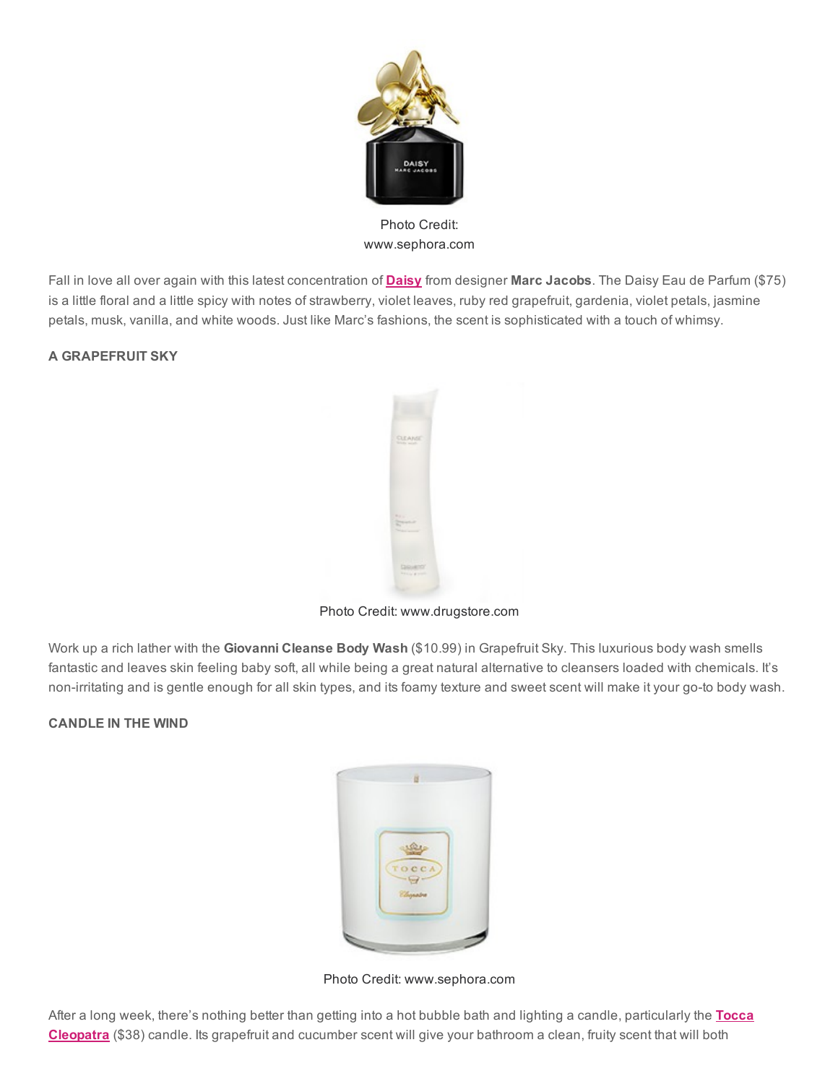

Photo Credit: www.sephora.com

Fall in love all over again with this latest concentration of **[Daisy](http://rstyle.me/e4di48hmde)** from designer Marc Jacobs. The Daisy Eau de Parfum (\$75) is a little floral and a little spicy with notes of strawberry, violet leaves, ruby red grapefruit, gardenia, violet petals, jasmine petals, musk, vanilla, and white woods. Just like Marc's fashions, the scent is sophisticated with a touch of whimsy.

# A GRAPEFRUIT SKY



Photo Credit: www.drugstore.com

Work up a rich lather with the Giovanni Cleanse Body Wash (\$10.99) in Grapefruit Sky. This luxurious body wash smells fantastic and leaves skin feeling baby soft, all while being a great natural alternative to cleansers loaded with chemicals. It's non-irritating and is gentle enough for all skin types, and its foamy texture and sweet scent will make it your go-to body wash.

## CANDLE IN THE WIND



Photo Credit: www.sephora.com

After a long week, there's nothing better than getting into a hot bubble bath and lighting a candle, [particularly](http://rstyle.me/vxqdhmde) the Tocca Cleopatra (\$38) candle. Its grapefruit and cucumber scent will give your bathroom a clean, fruity scent that will both